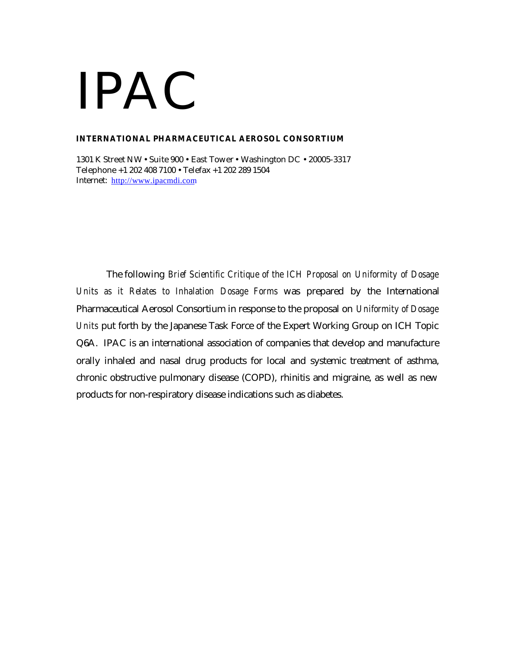#### **INTERNATIONAL PHARMACEUTICAL AEROSOL CONSORTIUM**

1301 K Street NW • Suite 900 • East Tower • Washington DC • 20005-3317 Telephone +1 202 408 7100 • Telefax +1 202 289 1504 Internet: http://www.ipacmdi.com

The following *Brief Scientific Critique of the ICH Proposal on Uniformity of Dosage Units as it Relates to Inhalation Dosage Forms* was prepared by the International Pharmaceutical Aerosol Consortium in response to the proposal on *Uniformity of Dosage Units* put forth by the Japanese Task Force of the Expert Working Group on ICH Topic Q6A. IPAC is an international association of companies that develop and manufacture orally inhaled and nasal drug products for local and systemic treatment of asthma, chronic obstructive pulmonary disease (COPD), rhinitis and migraine, as well as new products for non-respiratory disease indications such as diabetes.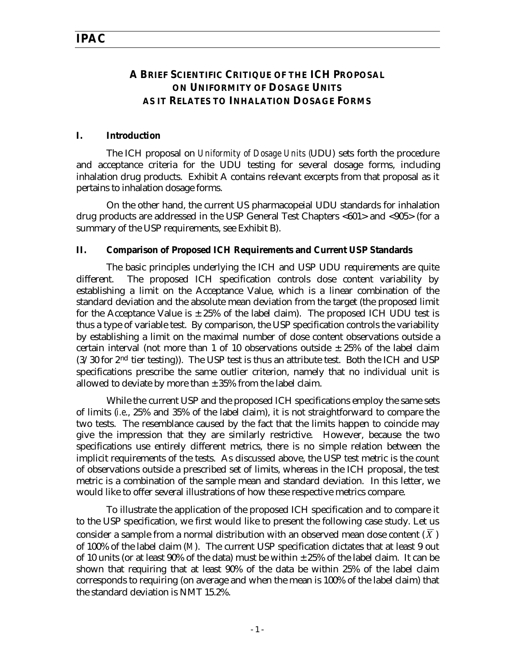## **A BRIEF SCIENTIFIC CRITIQUE OF THE ICH PROPOSAL ON UNIFORMITY OF DOSAGE UNITS AS IT RELATES TO INHALATION DOSAGE FORMS**

#### **I. Introduction**

The ICH proposal on *Uniformity of Dosage Units (*UDU) sets forth the procedure and acceptance criteria for the UDU testing for several dosage forms, including inhalation drug products. Exhibit A contains relevant excerpts from that proposal as it pertains to inhalation dosage forms.

On the other hand, the current US pharmacopeial UDU standards for inhalation drug products are addressed in the USP General Test Chapters <601> and <905> (for a summary of the USP requirements, see Exhibit B).

#### **II. Comparison of Proposed ICH Requirements and Current USP Standards**

The basic principles underlying the ICH and USP UDU requirements are quite different. The proposed ICH specification controls dose content variability by establishing a limit on the Acceptance Value, which is a linear combination of the standard deviation and the absolute mean deviation from the target (the proposed limit for the Acceptance Value is  $\pm 25\%$  of the label claim). The proposed ICH UDU test is thus a type of variable test. By comparison, the USP specification controls the variability by establishing a limit on the maximal number of dose content observations outside a certain interval (not more than 1 of 10 observations outside  $\pm$  25% of the label claim  $(3/30$  for  $2<sup>nd</sup>$  tier testing)). The USP test is thus an attribute test. Both the ICH and USP specifications prescribe the same outlier criterion, namely that no individual unit is allowed to deviate by more than  $\pm$  35% from the label claim.

While the current USP and the proposed ICH specifications employ the same sets of limits (*i.e*., 25% and 35% of the label claim), it is not straightforward to compare the two tests. The resemblance caused by the fact that the limits happen to coincide may give the impression that they are similarly restrictive. However, because the two specifications use entirely different metrics, there is no simple relation between the implicit requirements of the tests. As discussed above, the USP test metric is the count of observations outside a prescribed set of limits, whereas in the ICH proposal, the test metric is a combination of the sample mean and standard deviation. In this letter, we would like to offer several illustrations of how these respective metrics compare.

To illustrate the application of the proposed ICH specification and to compare it to the USP specification, we first would like to present the following case study. Let us consider a sample from a normal distribution with an observed mean dose content  $(\overline{X})$ of 100% of the label claim (*M*). The current USP specification dictates that at least 9 out of 10 units (or at least  $90\%$  of the data) must be within  $\pm 25\%$  of the label claim. It can be shown that requiring that at least 90% of the data be within 25% of the label claim corresponds to requiring (on average and when the mean is 100% of the label claim) that the standard deviation is NMT 15.2%.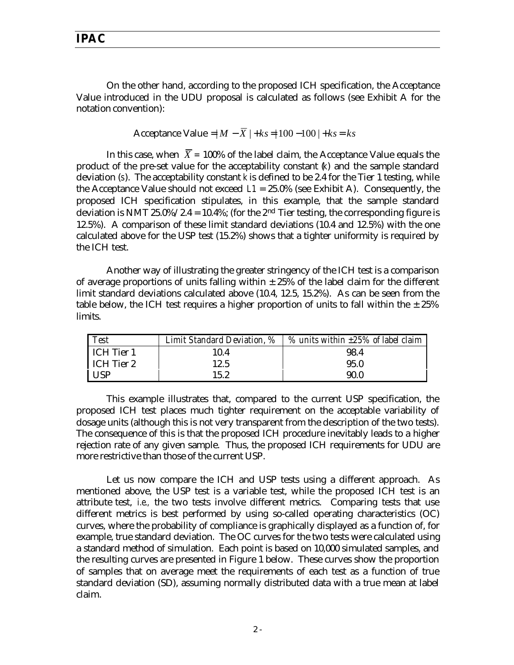On the other hand, according to the proposed ICH specification, the Acceptance Value introduced in the UDU proposal is calculated as follows (see Exhibit A for the notation convention):

Acceptance Value = $|M - \overline{X}| + ks = |100 - 100| + ks = ks$ 

In this case, when  $\overline{X}$  = 100% of the label claim, the Acceptance Value equals the product of the pre-set value for the acceptability constant (*k*) and the sample standard deviation (*s*). The acceptability constant *k* is defined to be 2.4 for the Tier 1 testing, while the Acceptance Value should not exceed  $L1 = 25.0\%$  (see Exhibit A). Consequently, the proposed ICH specification stipulates, in this example, that the sample standard deviation is NMT 25.0%/2.4 = 10.4%; (for the 2<sup>nd</sup> Tier testing, the corresponding figure is 12.5%). A comparison of these limit standard deviations (10.4 and 12.5%) with the one calculated above for the USP test (15.2%) shows that a tighter uniformity is required by the ICH test.

Another way of illustrating the greater stringency of the ICH test is a comparison of average proportions of units falling within  $\pm$  25% of the label claim for the different limit standard deviations calculated above (10.4, 12.5, 15.2%). As can be seen from the table below, the ICH test requires a higher proportion of units to fall within the  $\pm 25\%$ limits.

| <b>Test</b> |      | Limit Standard Deviation, $\%$   $\%$ units within $\pm 25\%$ of label claim |
|-------------|------|------------------------------------------------------------------------------|
| ICH Tier 1  | 10.4 | 98.4                                                                         |
| ICH Tier 2  | 12.5 | 95.0                                                                         |
| l USP       | 15.2 | 90.0                                                                         |

This example illustrates that, compared to the current USP specification, the proposed ICH test places much tighter requirement on the acceptable variability of dosage units (although this is not very transparent from the description of the two tests). The consequence of this is that the proposed ICH procedure inevitably leads to a higher rejection rate of any given sample. Thus, the proposed ICH requirements for UDU are more restrictive than those of the current USP.

Let us now compare the ICH and USP tests using a different approach. As mentioned above, the USP test is a variable test, while the proposed ICH test is an attribute test, *i.e.,* the two tests involve different metrics. Comparing tests that use different metrics is best performed by using so-called operating characteristics (OC) curves, where the probability of compliance is graphically displayed as a function of, for example, true standard deviation. The OC curves for the two tests were calculated using a standard method of simulation. Each point is based on 10,000 simulated samples, and the resulting curves are presented in Figure 1 below. These curves show the proportion of samples that on average meet the requirements of each test as a function of true standard deviation (SD), assuming normally distributed data with a true mean at label claim.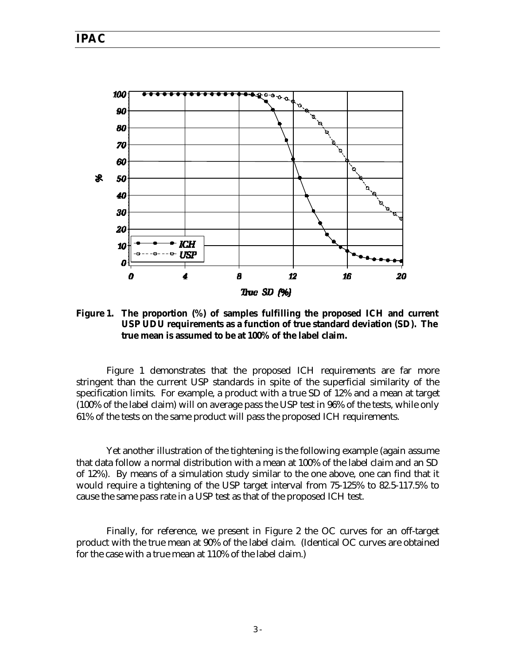

**Figure 1. The proportion (%) of samples fulfilling the proposed ICH and current USP UDU requirements as a function of true standard deviation (SD). The true mean is assumed to be at 100% of the label claim.**

Figure 1 demonstrates that the proposed ICH requirements are far more stringent than the current USP standards in spite of the superficial similarity of the specification limits. For example, a product with a true SD of 12% and a mean at target (100% of the label claim) will on average pass the USP test in 96% of the tests, while only 61% of the tests on the same product will pass the proposed ICH requirements.

Yet another illustration of the tightening is the following example (again assume that data follow a normal distribution with a mean at 100% of the label claim and an SD of 12%). By means of a simulation study similar to the one above, one can find that it would require a tightening of the USP target interval from 75-125% to 82.5-117.5% to cause the same pass rate in a USP test as that of the proposed ICH test.

Finally, for reference, we present in Figure 2 the OC curves for an off-target product with the true mean at 90% of the label claim. (Identical OC curves are obtained for the case with a true mean at 110% of the label claim.)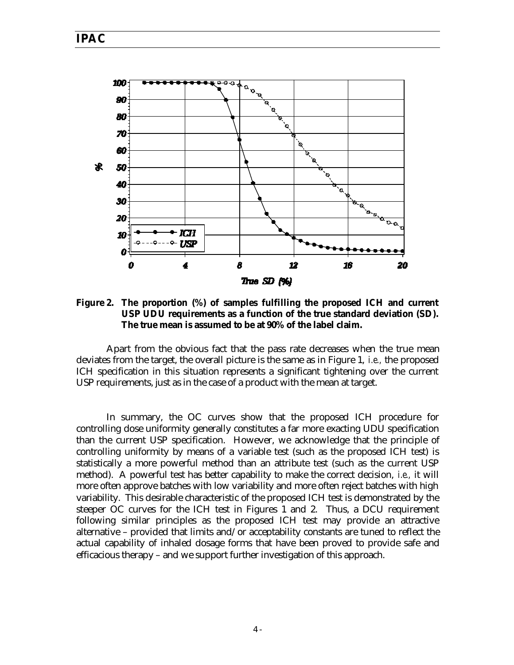

**Figure 2. The proportion (%) of samples fulfilling the proposed ICH and current USP UDU requirements as a function of the true standard deviation (SD). The true mean is assumed to be at 90% of the label claim.**

Apart from the obvious fact that the pass rate decreases when the true mean deviates from the target, the overall picture is the same as in Figure 1, *i.e.,* the proposed ICH specification in this situation represents a significant tightening over the current USP requirements, just as in the case of a product with the mean at target.

In summary, the OC curves show that the proposed ICH procedure for controlling dose uniformity generally constitutes a far more exacting UDU specification than the current USP specification. However, we acknowledge that the principle of controlling uniformity by means of a variable test (such as the proposed ICH test) is statistically a more powerful method than an attribute test (such as the current USP method). A powerful test has better capability to make the correct decision, *i.e.,* it will more often approve batches with low variability and more often reject batches with high variability. This desirable characteristic of the proposed ICH test is demonstrated by the steeper OC curves for the ICH test in Figures 1 and 2. Thus, a DCU requirement following similar principles as the proposed ICH test may provide an attractive alternative – provided that limits and/or acceptability constants are tuned to reflect the actual capability of inhaled dosage forms that have been proved to provide safe and efficacious therapy – and we support further investigation of this approach.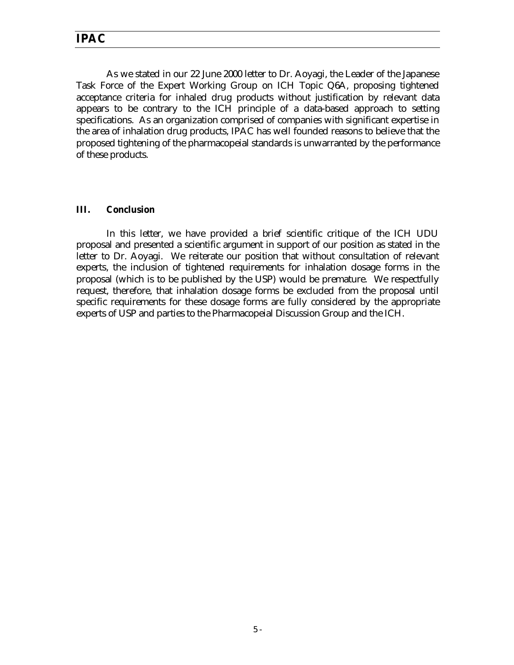As we stated in our 22 June 2000 letter to Dr. Aoyagi, the Leader of the Japanese Task Force of the Expert Working Group on ICH Topic Q6A, proposing tightened acceptance criteria for inhaled drug products without justification by relevant data appears to be contrary to the ICH principle of a data-based approach to setting specifications. As an organization comprised of companies with significant expertise in the area of inhalation drug products, IPAC has well founded reasons to believe that the proposed tightening of the pharmacopeial standards is unwarranted by the performance of these products.

#### **III. Conclusion**

In this letter, we have provided a brief scientific critique of the ICH UDU proposal and presented a scientific argument in support of our position as stated in the letter to Dr. Aoyagi. We reiterate our position that without consultation of relevant experts, the inclusion of tightened requirements for inhalation dosage forms in the proposal (which is to be published by the USP) would be premature. We respectfully request, therefore, that inhalation dosage forms be excluded from the proposal until specific requirements for these dosage forms are fully considered by the appropriate experts of USP and parties to the Pharmacopeial Discussion Group and the ICH.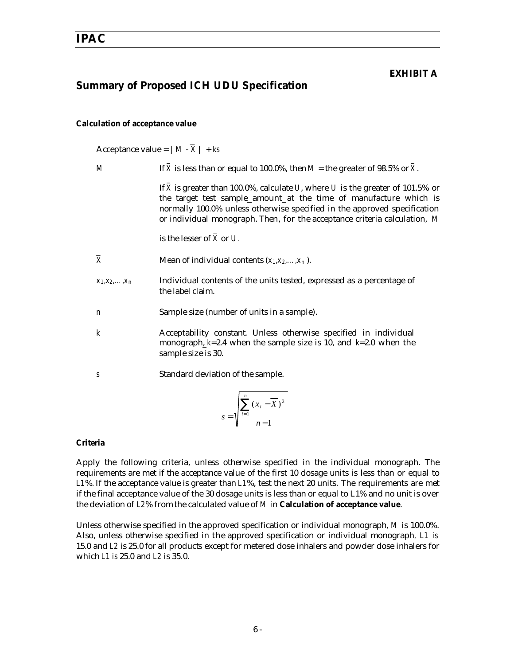#### **EXHIBIT A**

## **Summary of Proposed ICH UDU Specification**

#### **Calculation of acceptance value**

Acceptance value =  $|M - \bar{X}| + ks$ 

| $\boldsymbol{M}$          | If X is less than or equal to 100.0%, then $M$ = the greater of 98.5% or X.                                                                                                                                                                                                                                 |  |
|---------------------------|-------------------------------------------------------------------------------------------------------------------------------------------------------------------------------------------------------------------------------------------------------------------------------------------------------------|--|
|                           | If X is greater than 100.0%, calculate U, where U is the greater of 101.5% or<br>the target test sample_amount_at the time of manufacture which is<br>normally 100.0% unless otherwise specified in the approved specification<br>or individual monograph. Then, for the acceptance criteria calculation, M |  |
|                           | is the lesser of $X$ or $U$ .                                                                                                                                                                                                                                                                               |  |
| $\overline{\overline{X}}$ | Mean of individual contents $(x_1, x_2, \ldots, x_n)$ .                                                                                                                                                                                                                                                     |  |
| $X_1, X_2, \ldots, X_n$   | Individual contents of the units tested, expressed as a percentage of<br>the label claim.                                                                                                                                                                                                                   |  |
| n                         | Sample size (number of units in a sample).                                                                                                                                                                                                                                                                  |  |
| $\boldsymbol{k}$          | Acceptability constant. Unless otherwise specified in individual<br>monograph, $k=2.4$ when the sample size is 10, and $k=2.0$ when the<br>sample size is 30.                                                                                                                                               |  |
| S                         | Standard deviation of the sample.                                                                                                                                                                                                                                                                           |  |
|                           | $s = \sqrt{\sum_{i=1}^{n} (x_i - \overline{X})^2}$                                                                                                                                                                                                                                                          |  |

#### **Criteria**

Apply the following criteria, unless otherwise specified in the individual monograph. The requirements are met if the acceptance value of the first 10 dosage units is less than or equal to *L1*%. If the acceptance value is greater than *L1*%, test the next 20 units. The requirements are met if the final acceptance value of the 30 dosage units is less than or equal to L1% and no unit is over the deviation of *L2*% from the calculated value of *M* in **Calculation of acceptance value***.*

Unless otherwise specified in the approved specification or individual monograph*, M* is 100.0%. Also, unless otherwise specified in the approved specification or individual monograph*, L1 is* 15.0 and *L2* is 25.0 for all products except for metered dose inhalers and powder dose inhalers for which *L1 is* 25.0 and *L2* is 35.0.